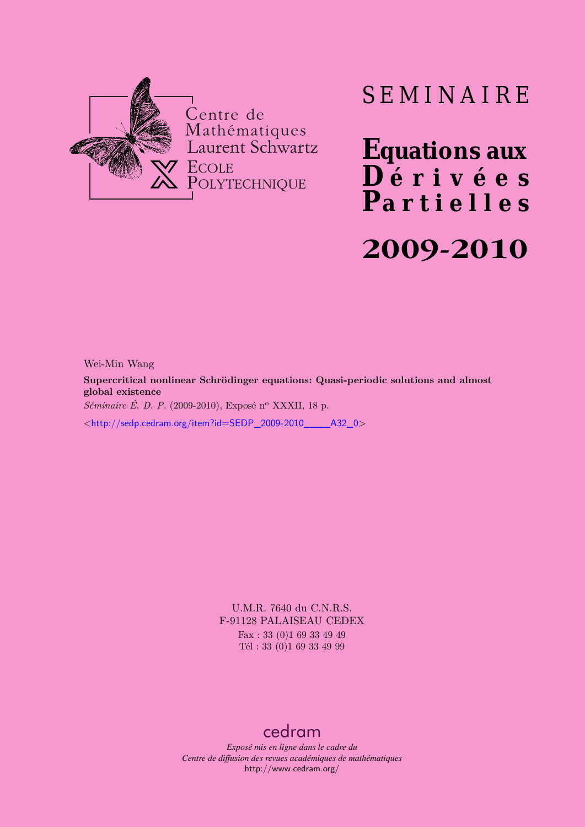

# SEMINAIRE

**Equations aux**  $\overline{\mathbf{D}}$  érivées **Partielles 2009-2010**

Wei-Min Wang

**Supercritical nonlinear Schrödinger equations: Quasi-periodic solutions and almost global existence**

*Séminaire É. D. P.* (2009-2010), Exposé n<sup>o</sup> XXXII, 18 p.

<[http://sedp.cedram.org/item?id=SEDP\\_2009-2010\\_\\_\\_\\_A32\\_0](http://sedp.cedram.org/item?id=SEDP_2009-2010____A32_0)>

U.M.R. 7640 du C.N.R.S. F-91128 PALAISEAU CEDEX Fax : 33 (0)1 69 33 49 49

Tél : 33 (0)1 69 33 49 99

# [cedram](http://www.cedram.org/)

*Exposé mis en ligne dans le cadre du Centre de diffusion des revues académiques de mathématiques* <http://www.cedram.org/>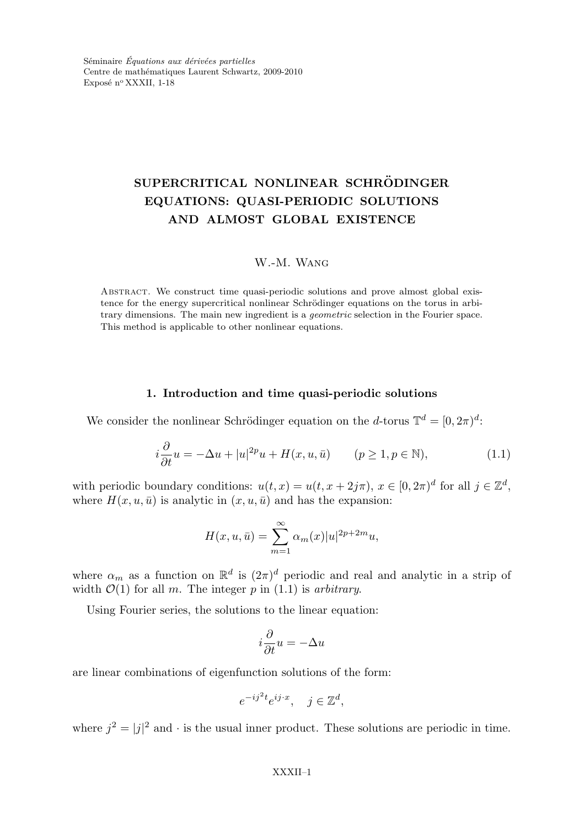Séminaire *Équations aux dérivées partielles* Centre de mathématiques Laurent Schwartz, 2009-2010 Exposé n° XXXII, 1-18

# SUPERCRITICAL NONLINEAR SCHRÖDINGER EQUATIONS: QUASI-PERIODIC SOLUTIONS AND ALMOST GLOBAL EXISTENCE

# W.-M. Wang

ABSTRACT. We construct time quasi-periodic solutions and prove almost global existence for the energy supercritical nonlinear Schrödinger equations on the torus in arbitrary dimensions. The main new ingredient is a geometric selection in the Fourier space. This method is applicable to other nonlinear equations.

#### 1. Introduction and time quasi-periodic solutions

We consider the nonlinear Schrödinger equation on the *d*-torus  $\mathbb{T}^d = [0, 2\pi)^d$ :

$$
i\frac{\partial}{\partial t}u = -\Delta u + |u|^{2p}u + H(x, u, \bar{u}) \qquad (p \ge 1, p \in \mathbb{N}), \tag{1.1}
$$

with periodic boundary conditions:  $u(t, x) = u(t, x + 2j\pi), x \in [0, 2\pi)^d$  for all  $j \in \mathbb{Z}^d$ , where  $H(x, u, \bar{u})$  is analytic in  $(x, u, \bar{u})$  and has the expansion:

$$
H(x, u, \bar{u}) = \sum_{m=1}^{\infty} \alpha_m(x)|u|^{2p+2m}u,
$$

where  $\alpha_m$  as a function on  $\mathbb{R}^d$  is  $(2\pi)^d$  periodic and real and analytic in a strip of width  $\mathcal{O}(1)$  for all m. The integer p in  $(1.1)$  is arbitrary.

Using Fourier series, the solutions to the linear equation:

$$
i\frac{\partial}{\partial t}u = -\Delta u
$$

are linear combinations of eigenfunction solutions of the form:

$$
e^{-ij^2t}e^{ij\cdot x}, \quad j \in \mathbb{Z}^d,
$$

where  $j^2 = |j|^2$  and  $\cdot$  is the usual inner product. These solutions are periodic in time.

#### XXXII–1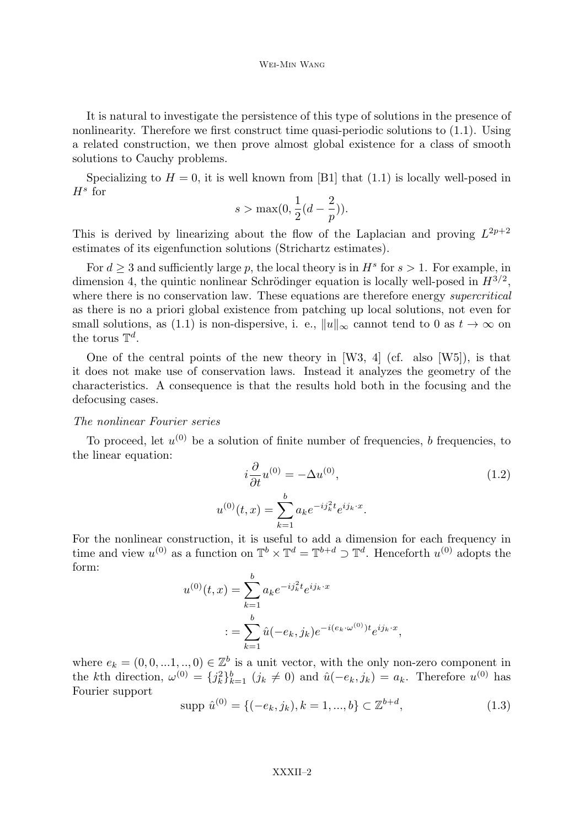#### Wei-Min Wang

It is natural to investigate the persistence of this type of solutions in the presence of nonlinearity. Therefore we first construct time quasi-periodic solutions to (1.1). Using a related construction, we then prove almost global existence for a class of smooth solutions to Cauchy problems.

Specializing to  $H = 0$ , it is well known from [B1] that (1.1) is locally well-posed in  $H^s$  for

$$
s > \max(0, \frac{1}{2}(d - \frac{2}{p})).
$$

This is derived by linearizing about the flow of the Laplacian and proving  $L^{2p+2}$ estimates of its eigenfunction solutions (Strichartz estimates).

For  $d \geq 3$  and sufficiently large p, the local theory is in  $H^s$  for  $s > 1$ . For example, in dimension 4, the quintic nonlinear Schrödinger equation is locally well-posed in  $H^{3/2}$ , where there is no conservation law. These equations are therefore energy *supercritical* as there is no a priori global existence from patching up local solutions, not even for small solutions, as (1.1) is non-dispersive, i. e.,  $||u||_{\infty}$  cannot tend to 0 as  $t \to \infty$  on the torus  $\mathbb{T}^d$ .

One of the central points of the new theory in [W3, 4] (cf. also [W5]), is that it does not make use of conservation laws. Instead it analyzes the geometry of the characteristics. A consequence is that the results hold both in the focusing and the defocusing cases.

### The nonlinear Fourier series

To proceed, let  $u^{(0)}$  be a solution of finite number of frequencies, b frequencies, to the linear equation:

$$
i\frac{\partial}{\partial t}u^{(0)} = -\Delta u^{(0)},
$$
  
(0)(t, x) = 
$$
\sum_{k=1}^{b} a_k e^{-ij_k^2 t} e^{ijk \cdot x}.
$$
 (1.2)

For the nonlinear construction, it is useful to add a dimension for each frequency in time and view  $u^{(0)}$  as a function on  $\mathbb{T}^b \times \mathbb{T}^d = \mathbb{T}^{b+d} \supset \mathbb{T}^d$ . Henceforth  $u^{(0)}$  adopts the form:

 $\boldsymbol{u}$ 

$$
u^{(0)}(t,x) = \sum_{k=1}^{b} a_k e^{-ij_k^2 t} e^{ij_k \cdot x}
$$
  

$$
:= \sum_{k=1}^{b} \hat{u}(-e_k, j_k) e^{-i(e_k \cdot \omega^{(0)}) t} e^{ij_k \cdot x},
$$

where  $e_k = (0, 0, \ldots, 1, \ldots, 0) \in \mathbb{Z}^b$  is a unit vector, with the only non-zero component in the kth direction,  $\omega^{(0)} = \{j_k^2\}_{k=1}^b$   $(j_k \neq 0)$  and  $\hat{u}(-e_k, j_k) = a_k$ . Therefore  $u^{(0)}$  has Fourier support

$$
supp \hat{u}^{(0)} = \{(-e_k, j_k), k = 1, ..., b\} \subset \mathbb{Z}^{b+d},
$$
\n(1.3)

#### XXXII–2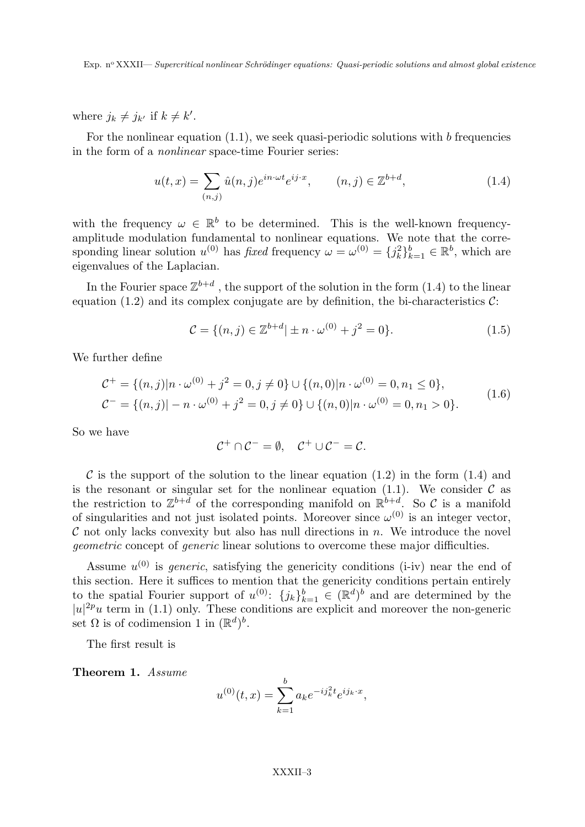where  $j_k \neq j_{k'}$  if  $k \neq k'$ .

For the nonlinear equation  $(1.1)$ , we seek quasi-periodic solutions with b frequencies in the form of a nonlinear space-time Fourier series:

$$
u(t,x) = \sum_{(n,j)} \hat{u}(n,j)e^{in \cdot \omega t}e^{ij \cdot x}, \qquad (n,j) \in \mathbb{Z}^{b+d}, \tag{1.4}
$$

with the frequency  $\omega \in \mathbb{R}^b$  to be determined. This is the well-known frequencyamplitude modulation fundamental to nonlinear equations. We note that the corresponding linear solution  $u^{(0)}$  has *fixed* frequency  $\omega = \omega^{(0)} = \{j_k^2\}_{k=1}^b \in \mathbb{R}^b$ , which are eigenvalues of the Laplacian.

In the Fourier space  $\mathbb{Z}^{b+d}$ , the support of the solution in the form  $(1.4)$  to the linear equation (1.2) and its complex conjugate are by definition, the bi-characteristics  $\mathcal{C}$ :

$$
\mathcal{C} = \{ (n, j) \in \mathbb{Z}^{b+d} | \pm n \cdot \omega^{(0)} + j^2 = 0 \}.
$$
 (1.5)

We further define

$$
\mathcal{C}^+ = \{(n,j)|n \cdot \omega^{(0)} + j^2 = 0, j \neq 0\} \cup \{(n,0)|n \cdot \omega^{(0)} = 0, n_1 \le 0\},
$$
  

$$
\mathcal{C}^- = \{(n,j)| - n \cdot \omega^{(0)} + j^2 = 0, j \ne 0\} \cup \{(n,0)|n \cdot \omega^{(0)} = 0, n_1 > 0\}.
$$
 (1.6)

So we have

$$
\mathcal{C}^+ \cap \mathcal{C}^- = \emptyset, \quad \mathcal{C}^+ \cup \mathcal{C}^- = \mathcal{C}.
$$

C is the support of the solution to the linear equation  $(1.2)$  in the form  $(1.4)$  and is the resonant or singular set for the nonlinear equation (1.1). We consider  $\mathcal C$  as the restriction to  $\mathbb{Z}^{b+d}$  of the corresponding manifold on  $\mathbb{R}^{b+d}$ . So C is a manifold of singularities and not just isolated points. Moreover since  $\omega^{(0)}$  is an integer vector,  $\mathcal C$  not only lacks convexity but also has null directions in  $n$ . We introduce the novel geometric concept of generic linear solutions to overcome these major difficulties.

Assume  $u^{(0)}$  is *generic*, satisfying the genericity conditions (i-iv) near the end of this section. Here it suffices to mention that the genericity conditions pertain entirely to the spatial Fourier support of  $u^{(0)}$ :  $\{j_k\}_{k=1}^b \in (\mathbb{R}^d)^b$  and are determined by the  $|u|^{2p}u$  term in (1.1) only. These conditions are explicit and moreover the non-generic set  $\Omega$  is of codimension 1 in  $(\mathbb{R}^d)^b$ .

The first result is

Theorem 1. Assume

$$
u^{(0)}(t,x) = \sum_{k=1}^{b} a_k e^{-ij_k^2 t} e^{ij_k \cdot x},
$$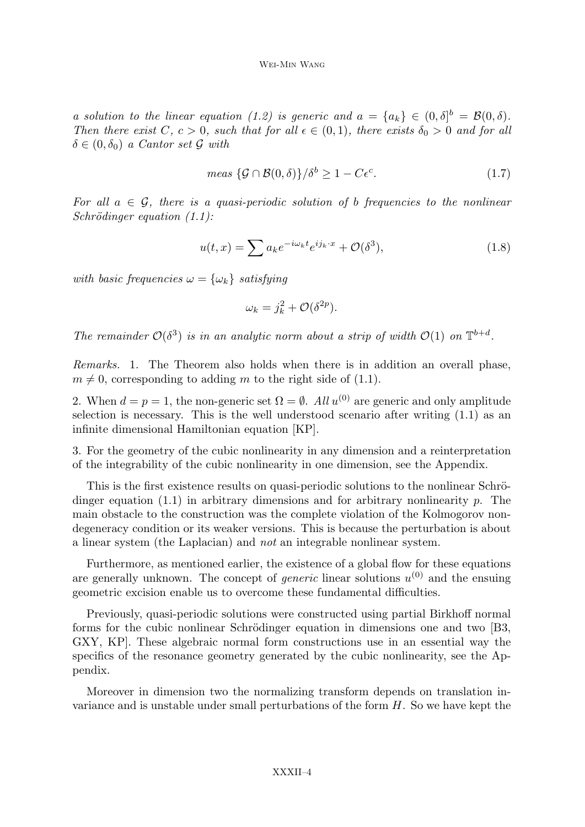a solution to the linear equation (1.2) is generic and  $a = \{a_k\} \in (0, \delta]^b = \mathcal{B}(0, \delta)$ . Then there exist C,  $c > 0$ , such that for all  $\epsilon \in (0,1)$ , there exists  $\delta_0 > 0$  and for all  $\delta \in (0, \delta_0)$  a Cantor set G with

$$
meas \left\{ \mathcal{G} \cap \mathcal{B}(0,\delta) \right\} / \delta^b \ge 1 - C\epsilon^c. \tag{1.7}
$$

For all  $a \in \mathcal{G}$ , there is a quasi-periodic solution of b frequencies to the nonlinear  $Schrödinger equation (1.1):$ 

$$
u(t,x) = \sum a_k e^{-i\omega_k t} e^{ij_k \cdot x} + \mathcal{O}(\delta^3), \qquad (1.8)
$$

with basic frequencies  $\omega = {\omega_k}$  satisfying

$$
\omega_k = j_k^2 + \mathcal{O}(\delta^{2p}).
$$

The remainder  $\mathcal{O}(\delta^3)$  is in an analytic norm about a strip of width  $\mathcal{O}(1)$  on  $\mathbb{T}^{b+d}$ .

Remarks. 1. The Theorem also holds when there is in addition an overall phase,  $m \neq 0$ , corresponding to adding m to the right side of (1.1).

2. When  $d = p = 1$ , the non-generic set  $\Omega = \emptyset$ . All  $u^{(0)}$  are generic and only amplitude selection is necessary. This is the well understood scenario after writing (1.1) as an infinite dimensional Hamiltonian equation [KP].

3. For the geometry of the cubic nonlinearity in any dimension and a reinterpretation of the integrability of the cubic nonlinearity in one dimension, see the Appendix.

This is the first existence results on quasi-periodic solutions to the nonlinear Schrödinger equation  $(1.1)$  in arbitrary dimensions and for arbitrary nonlinearity p. The main obstacle to the construction was the complete violation of the Kolmogorov nondegeneracy condition or its weaker versions. This is because the perturbation is about a linear system (the Laplacian) and not an integrable nonlinear system.

Furthermore, as mentioned earlier, the existence of a global flow for these equations are generally unknown. The concept of *generic* linear solutions  $u^{(0)}$  and the ensuing geometric excision enable us to overcome these fundamental difficulties.

Previously, quasi-periodic solutions were constructed using partial Birkhoff normal forms for the cubic nonlinear Schrödinger equation in dimensions one and two [B3, GXY, KP]. These algebraic normal form constructions use in an essential way the specifics of the resonance geometry generated by the cubic nonlinearity, see the Appendix.

Moreover in dimension two the normalizing transform depends on translation invariance and is unstable under small perturbations of the form H. So we have kept the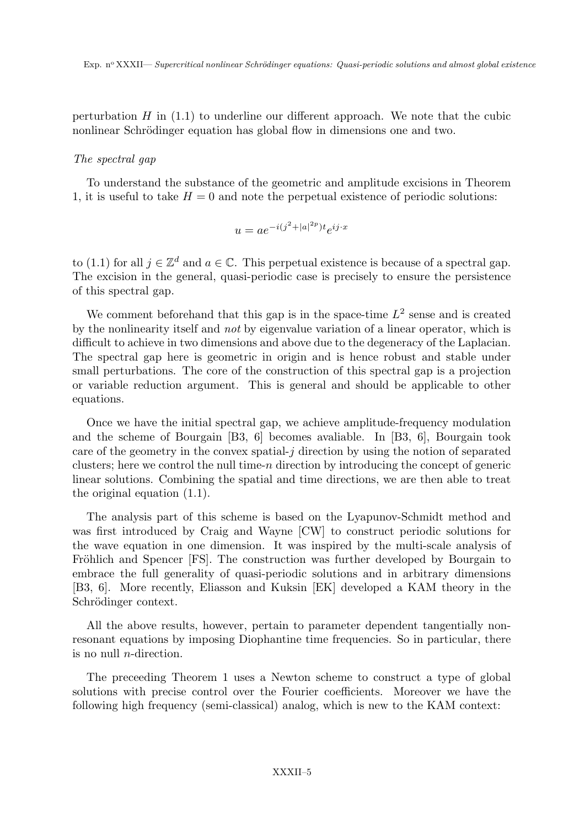perturbation  $H$  in  $(1.1)$  to underline our different approach. We note that the cubic nonlinear Schrödinger equation has global flow in dimensions one and two.

#### The spectral gap

To understand the substance of the geometric and amplitude excisions in Theorem 1, it is useful to take  $H = 0$  and note the perpetual existence of periodic solutions:

$$
u = ae^{-i(j^2 + |a|^{2p})t}e^{ij \cdot x}
$$

to (1.1) for all  $j \in \mathbb{Z}^d$  and  $a \in \mathbb{C}$ . This perpetual existence is because of a spectral gap. The excision in the general, quasi-periodic case is precisely to ensure the persistence of this spectral gap.

We comment beforehand that this gap is in the space-time  $L^2$  sense and is created by the nonlinearity itself and not by eigenvalue variation of a linear operator, which is difficult to achieve in two dimensions and above due to the degeneracy of the Laplacian. The spectral gap here is geometric in origin and is hence robust and stable under small perturbations. The core of the construction of this spectral gap is a projection or variable reduction argument. This is general and should be applicable to other equations.

Once we have the initial spectral gap, we achieve amplitude-frequency modulation and the scheme of Bourgain [B3, 6] becomes avaliable. In [B3, 6], Bourgain took care of the geometry in the convex spatial- $j$  direction by using the notion of separated clusters; here we control the null time-n direction by introducing the concept of generic linear solutions. Combining the spatial and time directions, we are then able to treat the original equation (1.1).

The analysis part of this scheme is based on the Lyapunov-Schmidt method and was first introduced by Craig and Wayne [CW] to construct periodic solutions for the wave equation in one dimension. It was inspired by the multi-scale analysis of Fröhlich and Spencer [FS]. The construction was further developed by Bourgain to embrace the full generality of quasi-periodic solutions and in arbitrary dimensions [B3, 6]. More recently, Eliasson and Kuksin [EK] developed a KAM theory in the Schrödinger context.

All the above results, however, pertain to parameter dependent tangentially nonresonant equations by imposing Diophantine time frequencies. So in particular, there is no null *n*-direction.

The preceeding Theorem 1 uses a Newton scheme to construct a type of global solutions with precise control over the Fourier coefficients. Moreover we have the following high frequency (semi-classical) analog, which is new to the KAM context: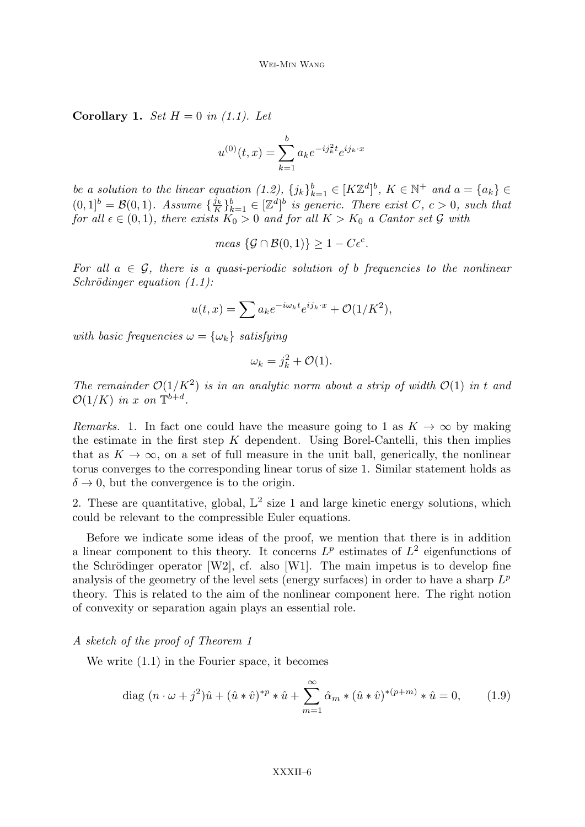Corollary 1. Set  $H = 0$  in (1.1). Let

$$
u^{(0)}(t,x) = \sum_{k=1}^{b} a_k e^{-ij_k^2 t} e^{ij_k \cdot x}
$$

be a solution to the linear equation  $(1.2)$ ,  $\{j_k\}_{k=1}^b \in [K\mathbb{Z}^d]^b$ ,  $K \in \mathbb{N}^+$  and  $a = \{a_k\} \in$  $(0,1]^b = \mathcal{B}(0,1)$ . Assume  $\{\frac{j_k}{K}\}$  $\{(\mathbf{x}, \mathbf{b})\}_{k=1}^{b} \in [\mathbb{Z}^d]^b$  is generic. There exist  $C, c > 0$ , such that for all  $\epsilon \in (0,1)$ , there exists  $K_0 > 0$  and for all  $K > K_0$  a Cantor set G with

$$
meas \{\mathcal{G} \cap \mathcal{B}(0,1)\} \geq 1 - C\epsilon^c.
$$

For all  $a \in \mathcal{G}$ , there is a quasi-periodic solution of b frequencies to the nonlinear  $Schrödinger equation (1.1):$ 

$$
u(t,x) = \sum a_k e^{-i\omega_k t} e^{ij_k \cdot x} + \mathcal{O}(1/K^2),
$$

with basic frequencies  $\omega = {\omega_k}$  satisfying

$$
\omega_k = j_k^2 + \mathcal{O}(1).
$$

The remainder  $\mathcal{O}(1/K^2)$  is in an analytic norm about a strip of width  $\mathcal{O}(1)$  in t and  $\mathcal{O}(1/K)$  in x on  $\mathbb{T}^{b+d}$ .

Remarks. 1. In fact one could have the measure going to 1 as  $K \to \infty$  by making the estimate in the first step  $K$  dependent. Using Borel-Cantelli, this then implies that as  $K \to \infty$ , on a set of full measure in the unit ball, generically, the nonlinear torus converges to the corresponding linear torus of size 1. Similar statement holds as  $\delta \rightarrow 0$ , but the convergence is to the origin.

2. These are quantitative, global,  $\mathbb{L}^2$  size 1 and large kinetic energy solutions, which could be relevant to the compressible Euler equations.

Before we indicate some ideas of the proof, we mention that there is in addition a linear component to this theory. It concerns  $L^p$  estimates of  $L^2$  eigenfunctions of the Schrödinger operator [W2], cf. also [W1]. The main impetus is to develop fine analysis of the geometry of the level sets (energy surfaces) in order to have a sharp  $L^p$ theory. This is related to the aim of the nonlinear component here. The right notion of convexity or separation again plays an essential role.

#### A sketch of the proof of Theorem 1

We write (1.1) in the Fourier space, it becomes

diag 
$$
(n \cdot \omega + j^2)\hat{u} + (\hat{u} * \hat{v})^{*p} * \hat{u} + \sum_{m=1}^{\infty} \hat{\alpha}_m * (\hat{u} * \hat{v})^{*(p+m)} * \hat{u} = 0,
$$
 (1.9)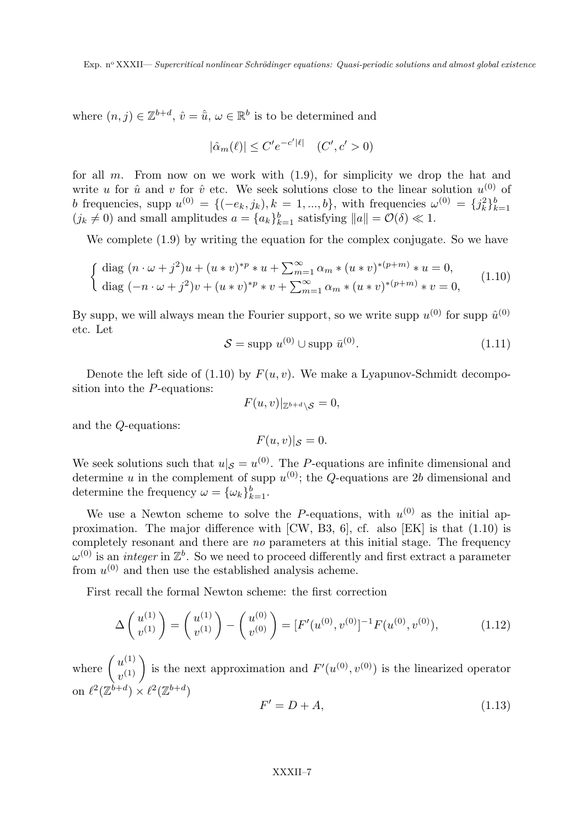where  $(n, j) \in \mathbb{Z}^{b+d}$ ,  $\hat{v} = \hat{u}$ ,  $\omega \in \mathbb{R}^b$  is to be determined and

$$
|\hat{\alpha}_m(\ell)| \le C' e^{-c'|\ell|} \quad (C', c' > 0)
$$

for all  $m$ . From now on we work with  $(1.9)$ , for simplicity we drop the hat and write u for  $\hat{u}$  and v for  $\hat{v}$  etc. We seek solutions close to the linear solution  $u^{(0)}$  of b frequencies, supp  $u^{(0)} = \{(-e_k, j_k), k = 1, ..., b\}$ , with frequencies  $\omega^{(0)} = \{j_k^2\}_{k=1}^b$  $(j_k \neq 0)$  and small amplitudes  $a = \{a_k\}_{k=1}^b$  satisfying  $||a|| = \mathcal{O}(\delta) \ll 1$ .

We complete (1.9) by writing the equation for the complex conjugate. So we have

$$
\begin{cases} \text{diag } (n \cdot \omega + j^2)u + (u * v)^{p} * u + \sum_{m=1}^{\infty} \alpha_m * (u * v)^{p+m} * u = 0, \\ \text{diag } (-n \cdot \omega + j^2)v + (u * v)^{p} * v + \sum_{m=1}^{\infty} \alpha_m * (u * v)^{p+m} * v = 0, \end{cases}
$$
(1.10)

By supp, we will always mean the Fourier support, so we write supp  $u^{(0)}$  for supp  $\hat{u}^{(0)}$ etc. Let

$$
S = \text{supp } u^{(0)} \cup \text{supp } \bar{u}^{(0)}.
$$
\n
$$
(1.11)
$$

Denote the left side of  $(1.10)$  by  $F(u, v)$ . We make a Lyapunov-Schmidt decomposition into the  $P$ -equations:

$$
F(u,v)|_{\mathbb{Z}^{b+d}\setminus\mathcal{S}}=0,
$$

and the Q-equations:

$$
F(u,v)|_{\mathcal{S}}=0.
$$

We seek solutions such that  $u|_{\mathcal{S}} = u^{(0)}$ . The P-equations are infinite dimensional and determine u in the complement of supp  $u^{(0)}$ ; the Q-equations are 2b dimensional and determine the frequency  $\omega = {\{\omega_k\}}_{k=1}^b$ .

We use a Newton scheme to solve the P-equations, with  $u^{(0)}$  as the initial approximation. The major difference with [CW, B3, 6], cf. also [EK] is that (1.10) is completely resonant and there are no parameters at this initial stage. The frequency  $\omega^{(0)}$  is an *integer* in  $\mathbb{Z}^b$ . So we need to proceed differently and first extract a parameter from  $u^{(0)}$  and then use the established analysis acheme.

First recall the formal Newton scheme: the first correction

$$
\Delta\left(\begin{array}{c}u^{(1)}\\v^{(1)}\end{array}\right) = \left(\begin{array}{c}u^{(1)}\\v^{(1)}\end{array}\right) - \left(\begin{array}{c}u^{(0)}\\v^{(0)}\end{array}\right) = [F'(u^{(0)}, v^{(0)}]^{-1}F(u^{(0)}, v^{(0)}),\tag{1.12}
$$

where  $\begin{pmatrix} u^{(1)} \\ u^{(1)} \end{pmatrix}$  $u^{(1)}(v^{(1)})$  is the next approximation and  $F'(u^{(0)}, v^{(0)})$  is the linearized operator on  $\ell^2(\mathbb{Z}^{b+d}) \times \ell^2(\mathbb{Z}^{b+d})$ 

$$
F'=D+A,\t(1.13)
$$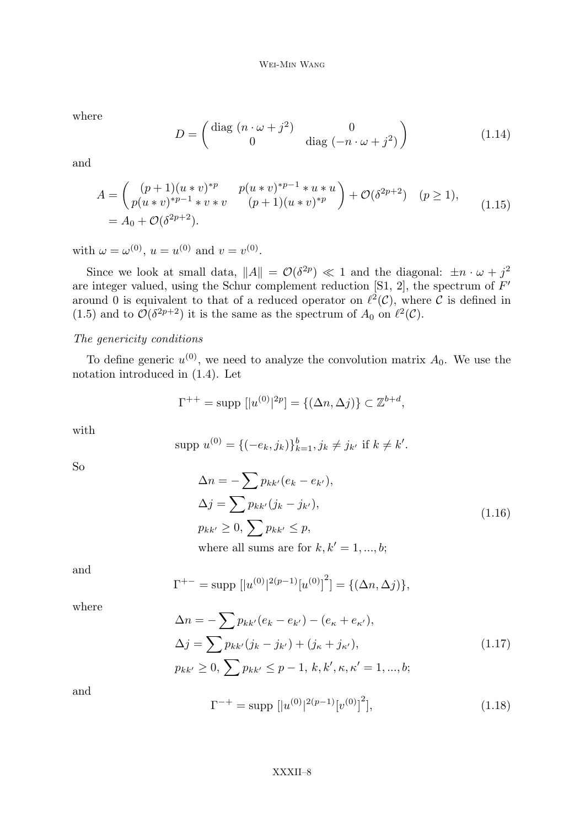where

$$
D = \begin{pmatrix} \text{diag}(n \cdot \omega + j^2) & 0\\ 0 & \text{diag}(-n \cdot \omega + j^2) \end{pmatrix}
$$
 (1.14)

and

$$
A = \begin{pmatrix} (p+1)(u*v)^{*p} & p(u*v)^{*p-1} * u * u \\ p(u*v)^{*p-1} * v * v & (p+1)(u*v)^{*p} \end{pmatrix} + \mathcal{O}(\delta^{2p+2}) \quad (p \ge 1),
$$
  
=  $A_0 + \mathcal{O}(\delta^{2p+2}).$  (1.15)

with  $\omega = \omega^{(0)}$ ,  $u = u^{(0)}$  and  $v = v^{(0)}$ .

Since we look at small data,  $||A|| = \mathcal{O}(\delta^{2p}) \ll 1$  and the diagonal:  $\pm n \cdot \omega + j^2$ are integer valued, using the Schur complement reduction [S1, 2], the spectrum of  $F'$ around 0 is equivalent to that of a reduced operator on  $\ell^2(\mathcal{C})$ , where C is defined in (1.5) and to  $\mathcal{O}(\delta^{2p+2})$  it is the same as the spectrum of  $A_0$  on  $\ell^2(\mathcal{C})$ .

### The genericity conditions

To define generic  $u^{(0)}$ , we need to analyze the convolution matrix  $A_0$ . We use the notation introduced in (1.4). Let

$$
\Gamma^{++} = \text{supp } [|u^{(0)}|^{2p}] = \{ (\Delta n, \Delta j) \} \subset \mathbb{Z}^{b+d},
$$

with

$$
supp u^{(0)} = \{(-e_k, j_k)\}_{k=1}^b, j_k \neq j_{k'} \text{ if } k \neq k'.
$$

So

$$
\Delta n = -\sum p_{kk'}(e_k - e_{k'}),
$$
  
\n
$$
\Delta j = \sum p_{kk'}(j_k - j_{k'}),
$$
  
\n
$$
p_{kk'} \ge 0, \sum p_{kk'} \le p,
$$
  
\nwhere all sums are for  $k, k' = 1, ..., b;$  (1.16)

and

$$
\Gamma^{+-} = \text{supp } [|u^{(0)}|^{2(p-1)}[u^{(0)}]^{2}] = \{(\Delta n, \Delta j)\},
$$

where

$$
\Delta n = -\sum p_{kk'}(e_k - e_{k'}) - (e_{\kappa} + e_{\kappa'}),
$$
  
\n
$$
\Delta j = \sum p_{kk'}(j_k - j_{k'}) + (j_{\kappa} + j_{\kappa'}),
$$
  
\n
$$
p_{kk'} \ge 0, \sum p_{kk'} \le p - 1, k, k', \kappa, \kappa' = 1, ..., b;
$$
\n(1.17)

and

$$
\Gamma^{-+} = \text{supp } [|u^{(0)}|^{2(p-1)}[v^{(0)}]^{2}], \qquad (1.18)
$$

#### XXXII–8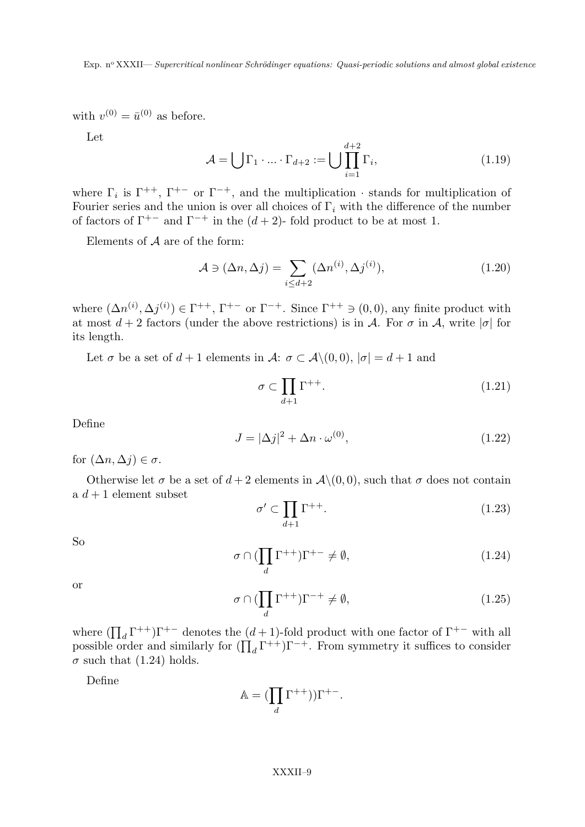with  $v^{(0)} = \bar{u}^{(0)}$  as before.

Let

$$
\mathcal{A} = \bigcup \Gamma_1 \cdot \ldots \cdot \Gamma_{d+2} := \bigcup \prod_{i=1}^{d+2} \Gamma_i,\tag{1.19}
$$

where  $\Gamma_i$  is  $\Gamma^{++}$ ,  $\Gamma^{+-}$  or  $\Gamma^{-+}$ , and the multiplication  $\cdot$  stands for multiplication of Fourier series and the union is over all choices of  $\Gamma_i$  with the difference of the number of factors of  $\Gamma^{+-}$  and  $\Gamma^{-+}$  in the  $(d+2)$ - fold product to be at most 1.

Elements of  $\mathcal A$  are of the form:

$$
\mathcal{A} \ni (\Delta n, \Delta j) = \sum_{i \le d+2} (\Delta n^{(i)}, \Delta j^{(i)}), \tag{1.20}
$$

where  $(\Delta n^{(i)}, \Delta j^{(i)}) \in \Gamma^{++}$ ,  $\Gamma^{+-}$  or  $\Gamma^{-+}$ . Since  $\Gamma^{++} \ni (0,0)$ , any finite product with at most  $d+2$  factors (under the above restrictions) is in A. For  $\sigma$  in A, write  $|\sigma|$  for its length.

Let  $\sigma$  be a set of  $d+1$  elements in  $\mathcal{A}$ :  $\sigma \subset \mathcal{A}\setminus(0,0), |\sigma|=d+1$  and

$$
\sigma \subset \prod_{d+1} \Gamma^{++}.\tag{1.21}
$$

Define

$$
J = |\Delta j|^2 + \Delta n \cdot \omega^{(0)},\tag{1.22}
$$

for  $(\Delta n, \Delta j) \in \sigma$ .

Otherwise let  $\sigma$  be a set of  $d+2$  elements in  $\mathcal{A}\setminus(0,0)$ , such that  $\sigma$  does not contain a  $d+1$  element subset

$$
\sigma' \subset \prod_{d+1} \Gamma^{++}.\tag{1.23}
$$

So

$$
\sigma \cap (\prod_{d} \Gamma^{++})\Gamma^{+-} \neq \emptyset, \tag{1.24}
$$

or

$$
\sigma \cap (\prod_{d} \Gamma^{++})\Gamma^{-+} \neq \emptyset, \tag{1.25}
$$

where  $(\prod_{d} \Gamma^{++})\Gamma^{+-}$  denotes the  $(d+1)$ -fold product with one factor of  $\Gamma^{+-}$  with all possible order and similarly for  $(\prod_{d} \Gamma^{++})\Gamma^{-+}$ . From symmetry it suffices to consider  $\sigma$  such that (1.24) holds.

Define

$$
\mathbb{A} = (\prod_d \Gamma^{++})) \Gamma^{+-}.
$$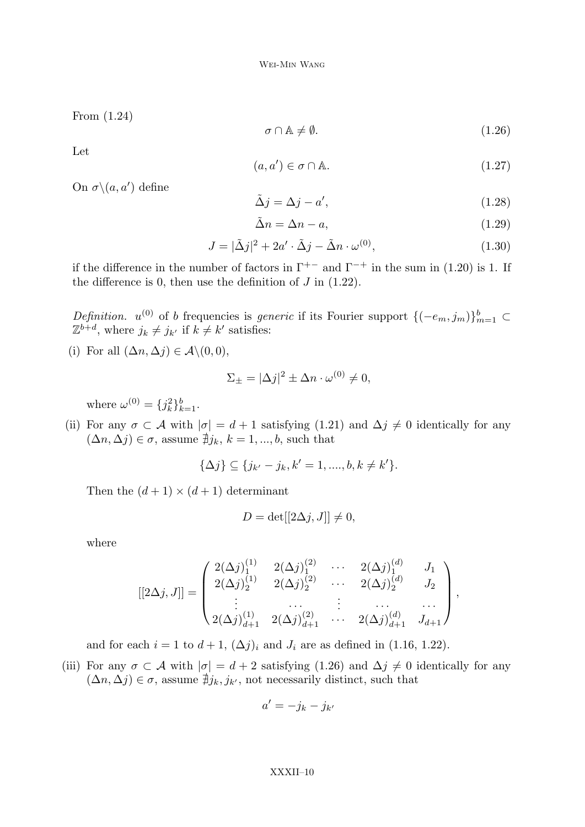From (1.24)

$$
\sigma \cap \mathbb{A} \neq \emptyset. \tag{1.26}
$$

Let

$$
(a, a') \in \sigma \cap \mathbb{A}.\tag{1.27}
$$

On  $\sigma \setminus (a, a')$  define

$$
\tilde{\Delta}j = \Delta j - a',\tag{1.28}
$$

$$
\tilde{\Delta}n = \Delta n - a,\tag{1.29}
$$

$$
J = |\tilde{\Delta}j|^2 + 2a' \cdot \tilde{\Delta}j - \tilde{\Delta}n \cdot \omega^{(0)}, \qquad (1.30)
$$

if the difference in the number of factors in  $\Gamma^{+-}$  and  $\Gamma^{-+}$  in the sum in (1.20) is 1. If the difference is 0, then use the definition of  $J$  in  $(1.22)$ .

Definition.  $u^{(0)}$  of b frequencies is *generic* if its Fourier support  $\{(-e_m, j_m)\}_{m=1}^b$  ⊂  $\mathbb{Z}^{b+d}$ , where  $j_k \neq j_{k'}$  if  $k \neq k'$  satisfies:

(i) For all  $(\Delta n, \Delta j) \in \mathcal{A} \setminus (0, 0)$ ,

$$
\Sigma_{\pm} = |\Delta j|^2 \pm \Delta n \cdot \omega^{(0)} \neq 0,
$$

where  $\omega^{(0)} = \{j_k^2\}_{k=1}^b$ .

(ii) For any  $\sigma \subset A$  with  $|\sigma| = d + 1$  satisfying (1.21) and  $\Delta j \neq 0$  identically for any  $(\Delta n, \Delta j) \in \sigma$ , assume  $\sharp j_k, k = 1, ..., b$ , such that

$$
\{\Delta j\} \subseteq \{j_{k'}-j_k, k'=1, ..., b, k \neq k'\}.
$$

Then the  $(d+1) \times (d+1)$  determinant

$$
D = \det[[2\Delta j, J]] \neq 0,
$$

where

$$
[[2\Delta j, J]] = \begin{pmatrix} 2(\Delta j)_1^{(1)} & 2(\Delta j)_2^{(2)} & \cdots & 2(\Delta j)_1^{(d)} & J_1 \\ 2(\Delta j)_2^{(1)} & 2(\Delta j)_2^{(2)} & \cdots & 2(\Delta j)_2^{(d)} & J_2 \\ \vdots & \cdots & \vdots & \cdots & \cdots \\ 2(\Delta j)_{d+1}^{(1)} & 2(\Delta j)_{d+1}^{(2)} & \cdots & 2(\Delta j)_{d+1}^{(d)} & J_{d+1} \end{pmatrix},
$$

and for each  $i = 1$  to  $d + 1$ ,  $(\Delta j)_i$  and  $J_i$  are as defined in (1.16, 1.22).

(iii) For any  $\sigma \subset A$  with  $|\sigma| = d + 2$  satisfying (1.26) and  $\Delta j \neq 0$  identically for any  $(\Delta n, \Delta j) \in \sigma$ , assume  $\sharp j_k, j_{k'}$ , not necessarily distinct, such that

$$
a' = -j_k - j_{k'}
$$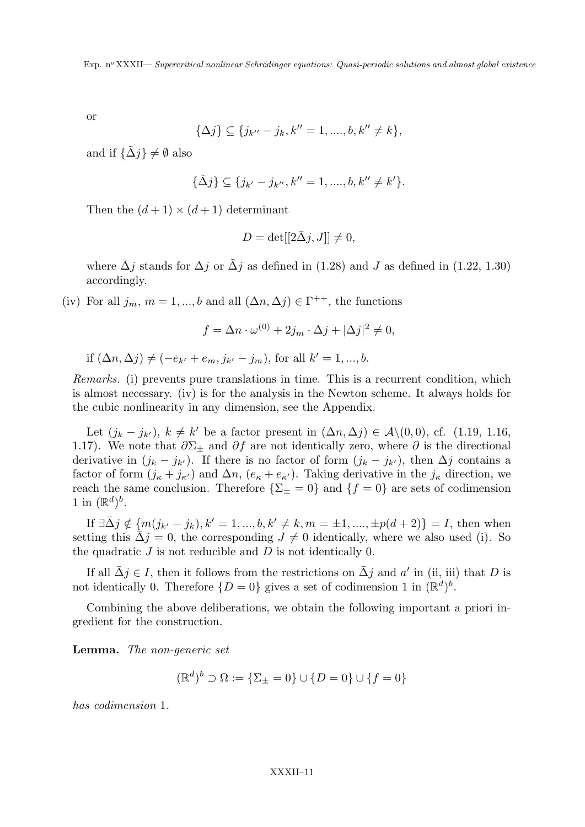or

$$
\{\Delta j\} \subseteq \{j_{k''} - j_k, k'' = 1, \dots, b, k'' \neq k\},\
$$

and if  $\{\tilde{\Delta}j\}\neq\emptyset$  also

$$
\{\tilde{\Delta}j\} \subseteq \{j_{k'}-j_{k''}, k''=1, ..., b, k'' \neq k'\}.
$$

Then the  $(d+1) \times (d+1)$  determinant

$$
D = det[[2\bar{\Delta}j, J]] \neq 0,
$$

where  $\bar{\Delta}j$  stands for  $\Delta j$  or  $\tilde{\Delta}j$  as defined in (1.28) and J as defined in (1.22, 1.30) accordingly.

(iv) For all  $j_m$ ,  $m = 1, ..., b$  and all  $(\Delta n, \Delta j) \in \Gamma^{++}$ , the functions

$$
f = \Delta n \cdot \omega^{(0)} + 2j_m \cdot \Delta j + |\Delta j|^2 \neq 0,
$$

if 
$$
(\Delta n, \Delta j) \neq (-e_{k'} + e_m, j_{k'} - j_m)
$$
, for all  $k' = 1, ..., b$ .

Remarks. (i) prevents pure translations in time. This is a recurrent condition, which is almost necessary. (iv) is for the analysis in the Newton scheme. It always holds for the cubic nonlinearity in any dimension, see the Appendix.

Let  $(j_k - j_{k'})$ ,  $k \neq k'$  be a factor present in  $(\Delta n, \Delta j) \in \mathcal{A} \setminus (0, 0)$ , cf. (1.19, 1.16, 1.17). We note that  $\partial \Sigma_{\pm}$  and  $\partial f$  are not identically zero, where  $\partial$  is the directional derivative in  $(j_k - j_{k'})$ . If there is no factor of form  $(j_k - j_{k'})$ , then  $\Delta j$  contains a factor of form  $(j_{\kappa} + j_{\kappa})$  and  $\Delta n$ ,  $(e_{\kappa} + e_{\kappa})$ . Taking derivative in the  $j_{\kappa}$  direction, we reach the same conclusion. Therefore  $\{\Sigma_{\pm}=0\}$  and  $\{f=0\}$  are sets of codimension 1 in  $(\mathbb{R}^d)^b$ .

If  $\exists \bar{\Delta}j \notin \{m(j_{k'}-j_k), k'=1, ..., b, k'\neq k, m = \pm 1, ..., \pm p(d+2)\}=I$ , then when setting this  $\Delta j = 0$ , the corresponding  $J \neq 0$  identically, where we also used (i). So the quadratic  $J$  is not reducible and  $D$  is not identically 0.

If all  $\bar{\Delta}j \in I$ , then it follows from the restrictions on  $\bar{\Delta}j$  and a' in (ii, iii) that D is not identically 0. Therefore  $\{D=0\}$  gives a set of codimension 1 in  $(\mathbb{R}^d)^b$ .

Combining the above deliberations, we obtain the following important a priori ingredient for the construction.

Lemma. The non-generic set

$$
(\mathbb{R}^d)^b \supset \Omega := \{\Sigma_{\pm} = 0\} \cup \{D = 0\} \cup \{f = 0\}
$$

has codimension 1.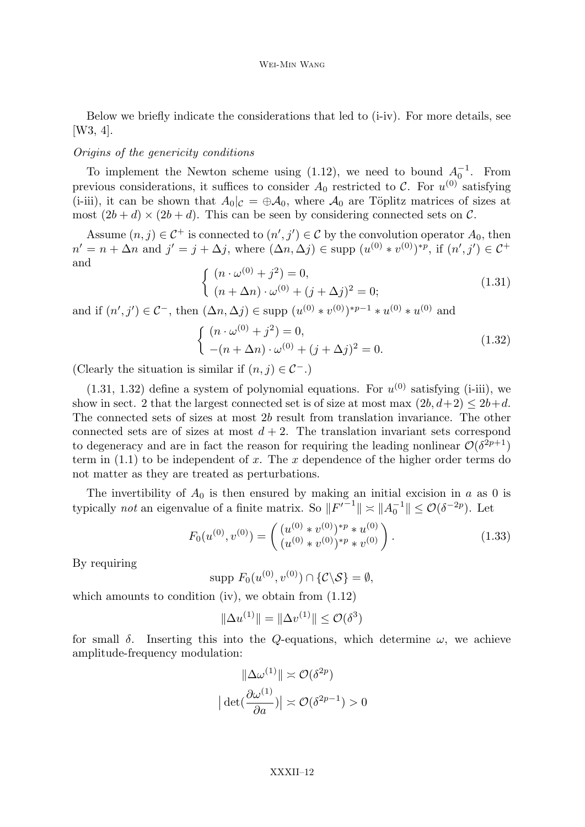Below we briefly indicate the considerations that led to (i-iv). For more details, see [W3, 4].

### Origins of the genericity conditions

To implement the Newton scheme using (1.12), we need to bound  $A_0^{-1}$ . From previous considerations, it suffices to consider  $A_0$  restricted to C. For  $u^{(0)}$  satisfying (i-iii), it can be shown that  $A_0|_{\mathcal{C}} = \bigoplus \mathcal{A}_0$ , where  $\mathcal{A}_0$  are Töplitz matrices of sizes at most  $(2b + d) \times (2b + d)$ . This can be seen by considering connected sets on C.

Assume  $(n, j) \in C^+$  is connected to  $(n', j') \in C$  by the convolution operator  $A_0$ , then  $n' = n + \Delta n$  and  $j' = j + \Delta j$ , where  $(\Delta n, \Delta j) \in \text{supp } (u^{(0)} * v^{(0)})^{*p}$ , if  $(n', j') \in \mathcal{C}^+$ and

$$
\begin{cases} (n \cdot \omega^{(0)} + j^2) = 0, \\ (n + \Delta n) \cdot \omega^{(0)} + (j + \Delta j)^2 = 0; \end{cases}
$$
(1.31)

and if  $(n', j') \in \mathcal{C}^-$ , then  $(\Delta n, \Delta j) \in \text{supp} (u^{(0)} * v^{(0)})^{*p-1} * u^{(0)} * u^{(0)}$  and

$$
\begin{cases} (n \cdot \omega^{(0)} + j^2) = 0, \\ -(n + \Delta n) \cdot \omega^{(0)} + (j + \Delta j)^2 = 0. \end{cases}
$$
 (1.32)

(Clearly the situation is similar if  $(n, j) \in C^{-}$ .)

 $(1.31, 1.32)$  define a system of polynomial equations. For  $u^{(0)}$  satisfying (i-iii), we show in sect. 2 that the largest connected set is of size at most max  $(2b, d+2) \leq 2b+d$ . The connected sets of sizes at most 2b result from translation invariance. The other connected sets are of sizes at most  $d + 2$ . The translation invariant sets correspond to degeneracy and are in fact the reason for requiring the leading nonlinear  $\mathcal{O}(\delta^{2p+1})$ term in  $(1.1)$  to be independent of x. The x dependence of the higher order terms do not matter as they are treated as perturbations.

The invertibility of  $A_0$  is then ensured by making an initial excision in a as 0 is typically *not* an eigenvalue of a finite matrix. So  $||F'^{-1}|| \approx ||A_0^{-1}|| \leq \mathcal{O}(\delta^{-2p})$ . Let

$$
F_0(u^{(0)}, v^{(0)}) = \begin{pmatrix} (u^{(0)} * v^{(0)})^{*p} * u^{(0)} \\ (u^{(0)} * v^{(0)})^{*p} * v^{(0)} \end{pmatrix}.
$$
 (1.33)

By requiring

supp  $F_0(u^{(0)}, v^{(0)}) \cap \{C \backslash S\} = \emptyset$ ,

which amounts to condition (iv), we obtain from  $(1.12)$ 

$$
\|\Delta u^{(1)}\| = \|\Delta v^{(1)}\| \le \mathcal{O}(\delta^3)
$$

for small  $\delta$ . Inserting this into the Q-equations, which determine  $\omega$ , we achieve amplitude-frequency modulation:

$$
\|\Delta \omega^{(1)}\| \approx \mathcal{O}(\delta^{2p})
$$

$$
|\det(\frac{\partial \omega^{(1)}}{\partial a})| \approx \mathcal{O}(\delta^{2p-1}) > 0
$$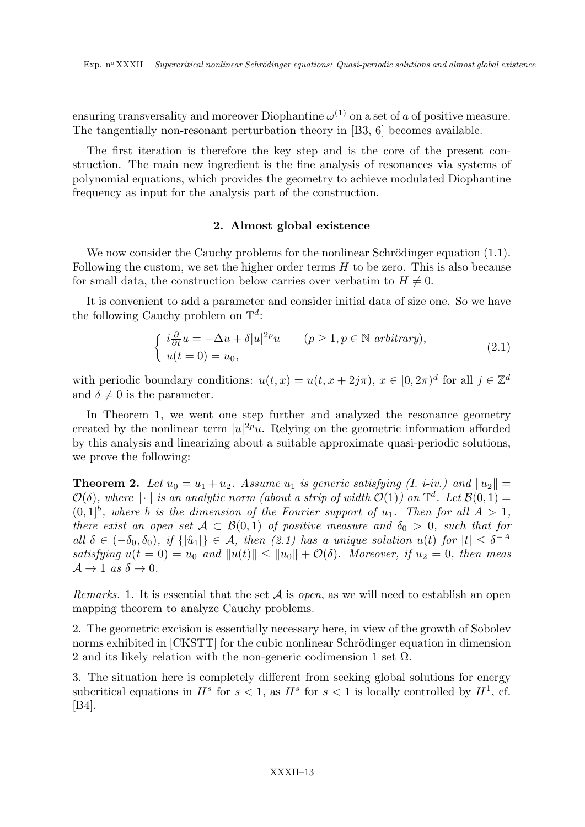ensuring transversality and moreover Diophantine  $\omega^{(1)}$  on a set of a of positive measure. The tangentially non-resonant perturbation theory in [B3, 6] becomes available.

The first iteration is therefore the key step and is the core of the present construction. The main new ingredient is the fine analysis of resonances via systems of polynomial equations, which provides the geometry to achieve modulated Diophantine frequency as input for the analysis part of the construction.

# 2. Almost global existence

We now consider the Cauchy problems for the nonlinear Schrödinger equation  $(1.1)$ . Following the custom, we set the higher order terms  $H$  to be zero. This is also because for small data, the construction below carries over verbatim to  $H \neq 0$ .

It is convenient to add a parameter and consider initial data of size one. So we have the following Cauchy problem on  $\mathbb{T}^d$ :

$$
\begin{cases}\ni \frac{\partial}{\partial t} u = -\Delta u + \delta |u|^{2p} u & (p \ge 1, p \in \mathbb{N} \text{ arbitrary}), \\
u(t = 0) = u_0,\n\end{cases}
$$
\n(2.1)

with periodic boundary conditions:  $u(t, x) = u(t, x + 2j\pi), x \in [0, 2\pi)^d$  for all  $j \in \mathbb{Z}^d$ and  $\delta \neq 0$  is the parameter.

In Theorem 1, we went one step further and analyzed the resonance geometry created by the nonlinear term  $|u|^{2p}u$ . Relying on the geometric information afforded by this analysis and linearizing about a suitable approximate quasi-periodic solutions, we prove the following:

**Theorem 2.** Let  $u_0 = u_1 + u_2$ . Assume  $u_1$  is generic satisfying (I. i-iv.) and  $||u_2|| =$  $\mathcal{O}(\delta)$ , where  $\|\cdot\|$  is an analytic norm (about a strip of width  $\mathcal{O}(1)$ ) on  $\mathbb{T}^d$ . Let  $\mathcal{B}(0, 1) =$  $(0,1]^b$ , where b is the dimension of the Fourier support of  $u_1$ . Then for all  $A > 1$ , there exist an open set  $A \subset \mathcal{B}(0,1)$  of positive measure and  $\delta_0 > 0$ , such that for all  $\delta \in (-\delta_0, \delta_0)$ , if  $\{|\hat{u}_1|\} \in \mathcal{A}$ , then  $(2.1)$  has a unique solution  $u(t)$  for  $|t| \leq \delta^{-A}$ satisfying  $u(t = 0) = u_0$  and  $||u(t)|| \le ||u_0|| + \mathcal{O}(\delta)$ . Moreover, if  $u_2 = 0$ , then meas  $\mathcal{A} \rightarrow 1$  as  $\delta \rightarrow 0$ .

*Remarks.* 1. It is essential that the set  $A$  is *open*, as we will need to establish an open mapping theorem to analyze Cauchy problems.

2. The geometric excision is essentially necessary here, in view of the growth of Sobolev norms exhibited in [CKSTT] for the cubic nonlinear Schrödinger equation in dimension 2 and its likely relation with the non-generic codimension 1 set  $\Omega$ .

3. The situation here is completely different from seeking global solutions for energy subcritical equations in  $H^s$  for  $s < 1$ , as  $H^s$  for  $s < 1$  is locally controlled by  $H^1$ , cf. [B4].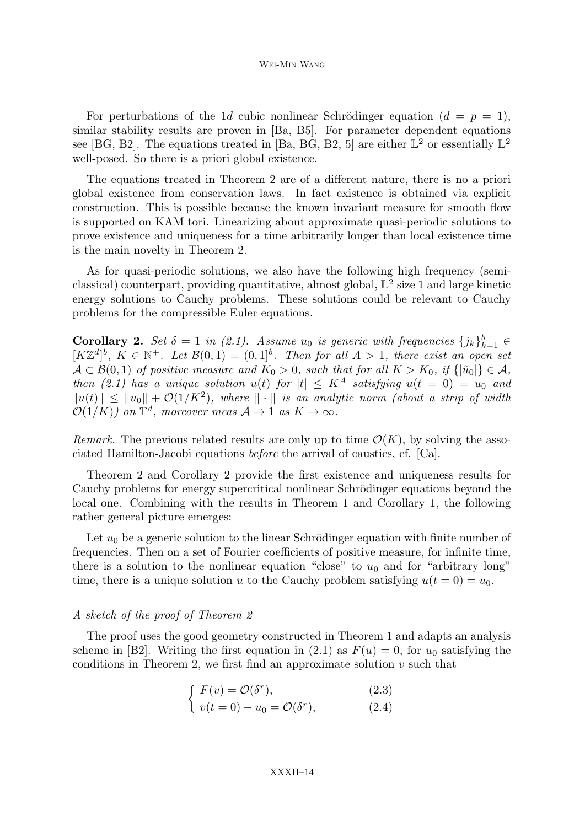#### Wei-Min Wang

For perturbations of the 1d cubic nonlinear Schrödinger equation  $(d = p = 1)$ , similar stability results are proven in [Ba, B5]. For parameter dependent equations see [BG, B2]. The equations treated in [Ba, BG, B2, 5] are either  $\mathbb{L}^2$  or essentially  $\mathbb{L}^2$ well-posed. So there is a priori global existence.

The equations treated in Theorem 2 are of a different nature, there is no a priori global existence from conservation laws. In fact existence is obtained via explicit construction. This is possible because the known invariant measure for smooth flow is supported on KAM tori. Linearizing about approximate quasi-periodic solutions to prove existence and uniqueness for a time arbitrarily longer than local existence time is the main novelty in Theorem 2.

As for quasi-periodic solutions, we also have the following high frequency (semiclassical) counterpart, providing quantitative, almost global,  $\mathbb{L}^2$  size 1 and large kinetic energy solutions to Cauchy problems. These solutions could be relevant to Cauchy problems for the compressible Euler equations.

**Corollary 2.** Set  $\delta = 1$  in (2.1). Assume  $u_0$  is generic with frequencies  $\{j_k\}_{k=1}^b \in$  $[K\mathbb{Z}^d]^b$ ,  $K \in \mathbb{N}^+$ . Let  $\mathcal{B}(0,1) = (0,1]^b$ . Then for all  $A > 1$ , there exist an open set  $\mathcal{A} \subset \mathcal{B}(0,1)$  of positive measure and  $K_0 > 0$ , such that for all  $K > K_0$ , if  $\{|\hat{u}_0|\} \in \mathcal{A}$ , then  $(2.1)$  has a unique solution  $u(t)$  for  $|t| \leq K^A$  satisfying  $u(t = 0) = u_0$  and  $||u(t)|| \le ||u_0|| + \mathcal{O}(1/K^2)$ , where  $|| \cdot ||$  is an analytic norm (about a strip of width  $\mathcal{O}(1/K)$ ) on  $\mathbb{T}^d$ , moreover meas  $\mathcal{A} \to 1$  as  $K \to \infty$ .

Remark. The previous related results are only up to time  $\mathcal{O}(K)$ , by solving the associated Hamilton-Jacobi equations before the arrival of caustics, cf. [Ca].

Theorem 2 and Corollary 2 provide the first existence and uniqueness results for Cauchy problems for energy supercritical nonlinear Schrödinger equations beyond the local one. Combining with the results in Theorem 1 and Corollary 1, the following rather general picture emerges:

Let  $u_0$  be a generic solution to the linear Schrödinger equation with finite number of frequencies. Then on a set of Fourier coefficients of positive measure, for infinite time, there is a solution to the nonlinear equation "close" to  $u_0$  and for "arbitrary long" time, there is a unique solution u to the Cauchy problem satisfying  $u(t = 0) = u_0$ .

#### A sketch of the proof of Theorem 2

The proof uses the good geometry constructed in Theorem 1 and adapts an analysis scheme in [B2]. Writing the first equation in (2.1) as  $F(u) = 0$ , for  $u_0$  satisfying the conditions in Theorem 2, we first find an approximate solution  $v$  such that

$$
\int F(v) = \mathcal{O}(\delta^r),\tag{2.3}
$$

$$
(v(t = 0) - u_0 = \mathcal{O}(\delta^r), \qquad (2.4)
$$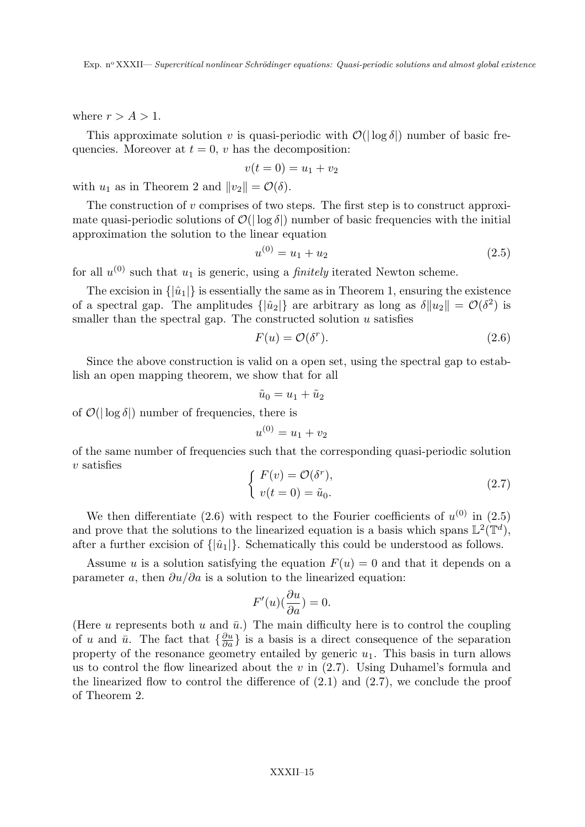where  $r > A > 1$ .

This approximate solution v is quasi-periodic with  $\mathcal{O}(|\log \delta|)$  number of basic frequencies. Moreover at  $t = 0$ , v has the decomposition:

$$
v(t=0) = u_1 + v_2
$$

with  $u_1$  as in Theorem 2 and  $||v_2|| = \mathcal{O}(\delta)$ .

The construction of  $v$  comprises of two steps. The first step is to construct approximate quasi-periodic solutions of  $\mathcal{O}(|\log \delta|)$  number of basic frequencies with the initial approximation the solution to the linear equation

$$
u^{(0)} = u_1 + u_2 \tag{2.5}
$$

for all  $u^{(0)}$  such that  $u_1$  is generic, using a *finitely* iterated Newton scheme.

The excision in  $\{|\hat{u}_1|\}$  is essentially the same as in Theorem 1, ensuring the existence of a spectral gap. The amplitudes  $\{|\hat{u}_2|\}$  are arbitrary as long as  $\delta ||u_2|| = \mathcal{O}(\delta^2)$  is smaller than the spectral gap. The constructed solution  $u$  satisfies

$$
F(u) = \mathcal{O}(\delta^r). \tag{2.6}
$$

Since the above construction is valid on a open set, using the spectral gap to establish an open mapping theorem, we show that for all

$$
\tilde{u}_0 = u_1 + \tilde{u}_2
$$

of  $\mathcal{O}(|\log \delta|)$  number of frequencies, there is

$$
u^{(0)} = u_1 + v_2
$$

of the same number of frequencies such that the corresponding quasi-periodic solution  $v$  satisfies

$$
\begin{cases}\nF(v) = \mathcal{O}(\delta^r), \\
v(t = 0) = \tilde{u}_0.\n\end{cases}
$$
\n(2.7)

We then differentiate (2.6) with respect to the Fourier coefficients of  $u^{(0)}$  in (2.5) and prove that the solutions to the linearized equation is a basis which spans  $\mathbb{L}^2(\mathbb{T}^d)$ , after a further excision of  $\{|\hat{u}_1|\}$ . Schematically this could be understood as follows.

Assume u is a solution satisfying the equation  $F(u) = 0$  and that it depends on a parameter a, then  $\partial u/\partial a$  is a solution to the linearized equation:

$$
F'(u)(\frac{\partial u}{\partial a}) = 0.
$$

(Here u represents both u and  $\bar{u}$ .) The main difficulty here is to control the coupling of u and  $\bar{u}$ . The fact that  $\{\frac{\partial u}{\partial a}\}\$ is a basis is a direct consequence of the separation property of the resonance geometry entailed by generic  $u_1$ . This basis in turn allows us to control the flow linearized about the  $v$  in  $(2.7)$ . Using Duhamel's formula and the linearized flow to control the difference of  $(2.1)$  and  $(2.7)$ , we conclude the proof of Theorem 2.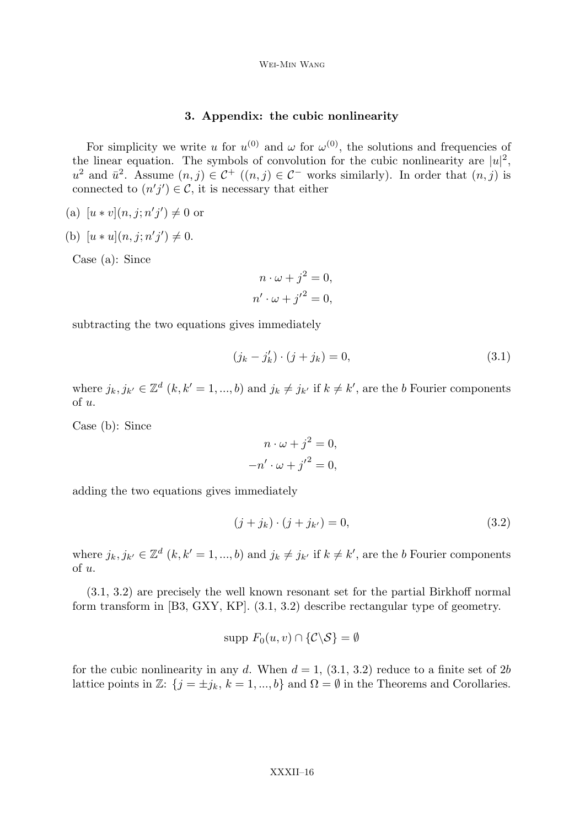## 3. Appendix: the cubic nonlinearity

For simplicity we write u for  $u^{(0)}$  and  $\omega$  for  $\omega^{(0)}$ , the solutions and frequencies of the linear equation. The symbols of convolution for the cubic nonlinearity are  $|u|^2$ ,  $u^2$  and  $\bar{u}^2$ . Assume  $(n, j) \in C^+$   $((n, j) \in C^-$  works similarly). In order that  $(n, j)$  is connected to  $(n'j') \in \mathcal{C}$ , it is necessary that either

- (a)  $[u * v](n, j; n'j') \neq 0$  or
- (b)  $[u * u](n, j; n'j') \neq 0.$

Case (a): Since

$$
n \cdot \omega + j^2 = 0,
$$
  

$$
n' \cdot \omega + j'^2 = 0,
$$

subtracting the two equations gives immediately

$$
(j_k - j'_k) \cdot (j + j_k) = 0,\t\t(3.1)
$$

where  $j_k, j_{k'} \in \mathbb{Z}^d$   $(k, k' = 1, ..., b)$  and  $j_k \neq j_{k'}$  if  $k \neq k'$ , are the b Fourier components of u.

Case (b): Since

$$
n \cdot \omega + j^2 = 0,
$$
  

$$
-n' \cdot \omega + {j'}^2 = 0,
$$

adding the two equations gives immediately

$$
(j + j_k) \cdot (j + j_{k'}) = 0,\t\t(3.2)
$$

where  $j_k, j_{k'} \in \mathbb{Z}^d$   $(k, k' = 1, ..., b)$  and  $j_k \neq j_{k'}$  if  $k \neq k'$ , are the b Fourier components of u.

(3.1, 3.2) are precisely the well known resonant set for the partial Birkhoff normal form transform in [B3, GXY, KP]. (3.1, 3.2) describe rectangular type of geometry.

$$
\text{supp } F_0(u,v) \cap \{ \mathcal{C} \backslash \mathcal{S} \} = \emptyset
$$

for the cubic nonlinearity in any d. When  $d = 1$ ,  $(3.1, 3.2)$  reduce to a finite set of 2b lattice points in Z:  $\{j = \pm j_k, k = 1, ..., b\}$  and  $\Omega = \emptyset$  in the Theorems and Corollaries.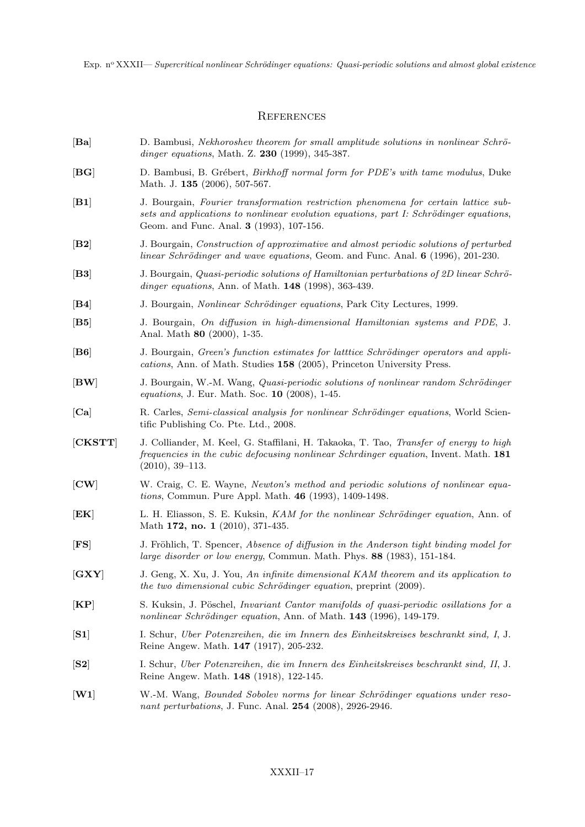#### **REFERENCES**

- [Ba] D. Bambusi, Nekhoroshev theorem for small amplitude solutions in nonlinear Schrödinger equations, Math. Z. 230 (1999), 345-387.
- [BG] D. Bambusi, B. Grébert, *Birkhoff normal form for PDE's with tame modulus*, Duke Math. J. **135** (2006), 507-567.
- [B1] J. Bourgain, Fourier transformation restriction phenomena for certain lattice subsets and applications to nonlinear evolution equations, part  $I: Schrödinger$  equations, Geom. and Func. Anal. 3 (1993), 107-156.
- [B2] J. Bourgain, Construction of approximative and almost periodic solutions of perturbed linear Schrödinger and wave equations, Geom. and Func. Anal.  $6$  (1996), 201-230.
- [B3] J. Bourgain, *Quasi-periodic solutions of Hamiltonian perturbations of 2D linear Schrö*dinger equations, Ann. of Math. **148** (1998), 363-439.
- [B4] J. Bourgain, *Nonlinear Schrödinger equations*, Park City Lectures, 1999.
- [B5] J. Bourgain, On diffusion in high-dimensional Hamiltonian systems and PDE, J. Anal. Math 80 (2000), 1-35.
- [B6] J. Bourgain, *Green's function estimates for latttice Schrödinger operators and appli*cations, Ann. of Math. Studies 158 (2005), Princeton University Press.
- [BW] J. Bourgain, W.-M. Wang, *Quasi-periodic solutions of nonlinear random Schrödinger* equations, J. Eur. Math. Soc. 10 (2008), 1-45.
- [Ca] R. Carles, Semi-classical analysis for nonlinear Schrödinger equations, World Scientific Publishing Co. Pte. Ltd., 2008.
- [CKSTT] J. Colliander, M. Keel, G. Staffilani, H. Takaoka, T. Tao, Transfer of energy to high frequencies in the cubic defocusing nonlinear Schrdinger equation, Invent. Math. 181 (2010), 39–113.
- [CW] W. Craig, C. E. Wayne, Newton's method and periodic solutions of nonlinear equations, Commun. Pure Appl. Math. 46 (1993), 1409-1498.
- [EK] L. H. Eliasson, S. E. Kuksin, KAM for the nonlinear Schrödinger equation, Ann. of Math 172, no. 1 (2010), 371-435.
- [FS] J. Fröhlich, T. Spencer, Absence of diffusion in the Anderson tight binding model for large disorder or low energy, Commun. Math. Phys. 88 (1983), 151-184.
- [GXY] J. Geng, X. Xu, J. You, An infinite dimensional KAM theorem and its application to the two dimensional cubic Schrödinger equation, preprint  $(2009)$ .
- [KP] S. Kuksin, J. Pöschel, *Invariant Cantor manifolds of quasi-periodic osillations for a* nonlinear Schrödinger equation, Ann. of Math. 143 (1996), 149-179.
- [S1] I. Schur, Uber Potenzreihen, die im Innern des Einheitskreises beschrankt sind, I, J. Reine Angew. Math. 147 (1917), 205-232.
- [S2] I. Schur, Uber Potenzreihen, die im Innern des Einheitskreises beschrankt sind, II, J. Reine Angew. Math. 148 (1918), 122-145.
- [W1] W.-M. Wang, Bounded Sobolev norms for linear Schrödinger equations under resonant perturbations, J. Func. Anal. **254** (2008), 2926-2946.